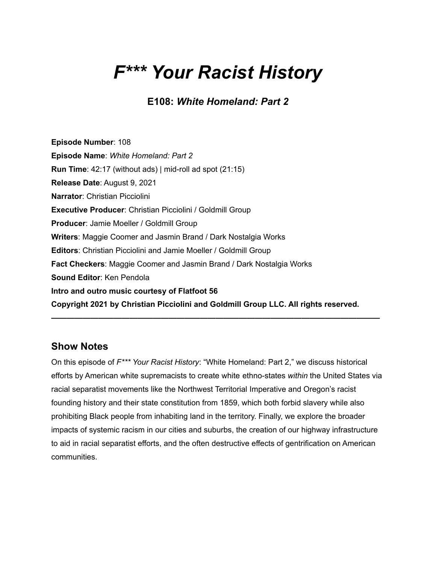# *F\*\*\* Your Racist History*

**E108:** *White Homeland: Part 2*

**Episode Number**: 108 **Episode Name**: *White Homeland: Part 2* **Run Time**: 42:17 (without ads) | mid-roll ad spot (21:15) **Release Date**: August 9, 2021 **Narrator**: Christian Picciolini **Executive Producer**: Christian Picciolini / Goldmill Group **Producer**: Jamie Moeller / Goldmill Group **Writers**: Maggie Coomer and Jasmin Brand / Dark Nostalgia Works **Editors**: Christian Picciolini and Jamie Moeller / Goldmill Group **Fact Checkers**: Maggie Coomer and Jasmin Brand / Dark Nostalgia Works **Sound Editor**: Ken Pendola **Intro and outro music courtesy of Flatfoot 56 Copyright 2021 by Christian Picciolini and Goldmill Group LLC. All rights reserved.**

## **Show Notes**

On this episode of *F\*\*\* Your Racist History*: "White Homeland: Part 2," we discuss historical efforts by American white supremacists to create white ethno-states *within* the United States via racial separatist movements like the Northwest Territorial Imperative and Oregon's racist founding history and their state constitution from 1859, which both forbid slavery while also prohibiting Black people from inhabiting land in the territory. Finally, we explore the broader impacts of systemic racism in our cities and suburbs, the creation of our highway infrastructure to aid in racial separatist efforts, and the often destructive effects of gentrification on American communities.

**——————————————————————————————————————————**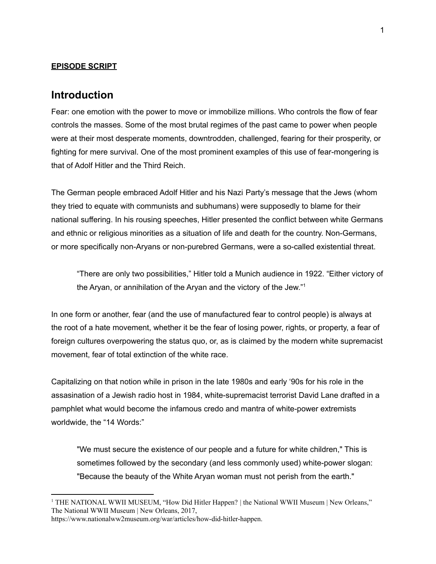#### **EPISODE SCRIPT**

### **Introduction**

Fear: one emotion with the power to move or immobilize millions. Who controls the flow of fear controls the masses. Some of the most brutal regimes of the past came to power when people were at their most desperate moments, downtrodden, challenged, fearing for their prosperity, or fighting for mere survival. One of the most prominent examples of this use of fear-mongering is that of Adolf Hitler and the Third Reich.

The German people embraced Adolf Hitler and his Nazi Party's message that the Jews (whom they tried to equate with communists and subhumans) were supposedly to blame for their national suffering. In his rousing speeches, Hitler presented the conflict between white Germans and ethnic or religious minorities as a situation of life and death for the country. Non-Germans, or more specifically non-Aryans or non-purebred Germans, were a so-called existential threat.

"There are only two possibilities," Hitler told a Munich audience in 1922. "Either victory of the Aryan, or annihilation of the Aryan and the victory of the Jew."<sup>1</sup>

In one form or another, fear (and the use of manufactured fear to control people) is always at the root of a hate movement, whether it be the fear of losing power, rights, or property, a fear of foreign cultures overpowering the status quo, or, as is claimed by the modern white supremacist movement, fear of total extinction of the white race.

Capitalizing on that notion while in prison in the late 1980s and early '90s for his role in the assasination of a Jewish radio host in 1984, white-supremacist terrorist David Lane drafted in a pamphlet what would become the infamous credo and mantra of white-power extremists worldwide, the "14 Words:"

"We must secure the existence of our people and a future for white children," This is sometimes followed by the secondary (and less commonly used) white-power slogan: "Because the beauty of the White Aryan woman must not perish from the earth."

<sup>&</sup>lt;sup>1</sup> THE NATIONAL WWII MUSEUM, "How Did Hitler Happen? | the National WWII Museum | New Orleans," The National WWII Museum | New Orleans, 2017,

<https://www.nationalww2museum.org/war/articles/how-did-hitler-happen>.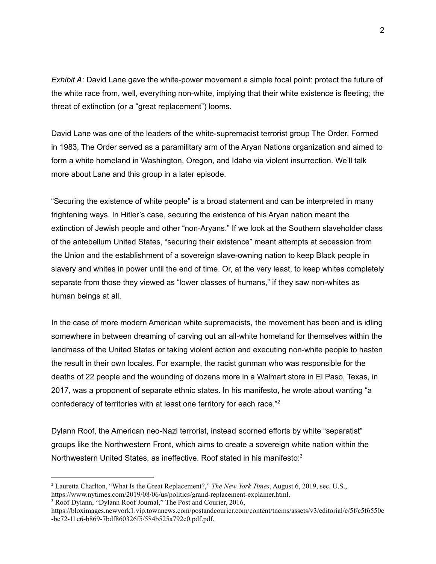*Exhibit A*: David Lane gave the white-power movement a simple focal point: protect the future of the white race from, well, everything non-white, implying that their white existence is fleeting; the threat of extinction (or a "great replacement") looms.

David Lane was one of the leaders of the white-supremacist terrorist group The Order. Formed in 1983, The Order served as a paramilitary arm of the Aryan Nations organization and aimed to form a white homeland in Washington, Oregon, and Idaho via violent insurrection. We'll talk more about Lane and this group in a later episode.

"Securing the existence of white people" is a broad statement and can be interpreted in many frightening ways. In Hitler's case, securing the existence of his Aryan nation meant the extinction of Jewish people and other "non-Aryans." If we look at the Southern slaveholder class of the antebellum United States, "securing their existence" meant attempts at secession from the Union and the establishment of a sovereign slave-owning nation to keep Black people in slavery and whites in power until the end of time. Or, at the very least, to keep whites completely separate from those they viewed as "lower classes of humans," if they saw non-whites as human beings at all.

In the case of more modern American white supremacists, the movement has been and is idling somewhere in between dreaming of carving out an all-white homeland for themselves within the landmass of the United States or taking violent action and executing non-white people to hasten the result in their own locales. For example, the racist gunman who was responsible for the deaths of 22 people and the wounding of dozens more in a Walmart store in El Paso, Texas, in 2017, was a proponent of separate ethnic states. In his manifesto, he wrote about wanting "a confederacy of territories with at least one territory for each race."<sup>2</sup>

Dylann Roof, the American neo-Nazi terrorist, instead scorned efforts by white "separatist" groups like the Northwestern Front, which aims to create a sovereign white nation within the Northwestern United States, as ineffective. Roof stated in his manifesto:<sup>3</sup>

<sup>2</sup> Lauretta Charlton, "What Is the Great Replacement?," *The New York Times*, August 6, 2019, sec. U.S., <https://www.nytimes.com/2019/08/06/us/politics/grand-replacement-explainer.html>.

<sup>&</sup>lt;sup>3</sup> Roof Dylann, "Dylann Roof Journal," The Post and Courier, 2016,

[https://bloximages.newyork1.vip.townnews.com/postandcourier.com/content/tncms/assets/v3/editorial/c/5f/c5f6550c](https://bloximages.newyork1.vip.townnews.com/postandcourier.com/content/tncms/assets/v3/editorial/c/5f/c5f6550c-be72-11e6-b869-7bdf860326f5/584b525a792e0.pdf.pdf) [-be72-11e6-b869-7bdf860326f5/584b525a792e0.pdf.pdf.](https://bloximages.newyork1.vip.townnews.com/postandcourier.com/content/tncms/assets/v3/editorial/c/5f/c5f6550c-be72-11e6-b869-7bdf860326f5/584b525a792e0.pdf.pdf)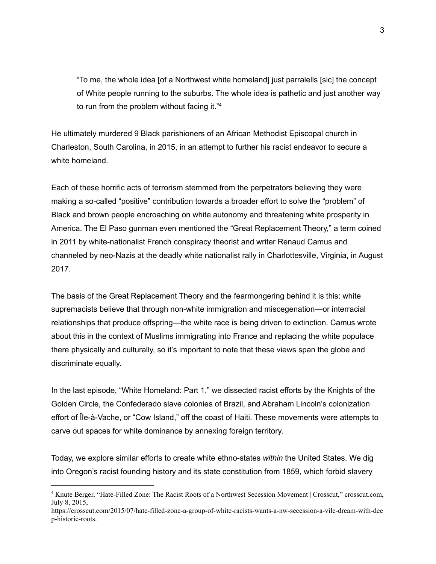"To me, the whole idea [of a Northwest white homeland] just parralells [sic] the concept of White people running to the suburbs. The whole idea is pathetic and just another way to run from the problem without facing it." 4

He ultimately murdered 9 Black parishioners of an African Methodist Episcopal church in Charleston, South Carolina, in 2015, in an attempt to further his racist endeavor to secure a white homeland.

Each of these horrific acts of terrorism stemmed from the perpetrators believing they were making a so-called "positive" contribution towards a broader effort to solve the "problem" of Black and brown people encroaching on white autonomy and threatening white prosperity in America. The El Paso gunman even mentioned the "Great Replacement Theory," a term coined in 2011 by white-nationalist French conspiracy theorist and writer Renaud Camus and channeled by neo-Nazis at the deadly white nationalist rally in Charlottesville, Virginia, in August 2017.

The basis of the Great Replacement Theory and the fearmongering behind it is this: white supremacists believe that through non-white immigration and miscegenation—or interracial relationships that produce offspring—the white race is being driven to extinction. Camus wrote about this in the context of Muslims immigrating into France and replacing the white populace there physically and culturally, so it's important to note that these views span the globe and discriminate equally.

In the last episode, "White Homeland: Part 1," we dissected racist efforts by the Knights of the Golden Circle, the Confederado slave colonies of Brazil, and Abraham Lincoln's colonization effort of Île-à-Vache, or "Cow Island," off the coast of Haiti. These movements were attempts to carve out spaces for white dominance by annexing foreign territory.

Today, we explore similar efforts to create white ethno-states *within* the United States. We dig into Oregon's racist founding history and its state constitution from 1859, which forbid slavery

<sup>4</sup> Knute Berger, "Hate-Filled Zone: The Racist Roots of a Northwest Secession Movement | Crosscut," crosscut.com, July 8, 2015,

[https://crosscut.com/2015/07/hate-filled-zone-a-group-of-white-racists-wants-a-nw-secession-a-vile-dream-with-dee](https://crosscut.com/2015/07/hate-filled-zone-a-group-of-white-racists-wants-a-nw-secession-a-vile-dream-with-deep-historic-roots) [p-historic-roots.](https://crosscut.com/2015/07/hate-filled-zone-a-group-of-white-racists-wants-a-nw-secession-a-vile-dream-with-deep-historic-roots)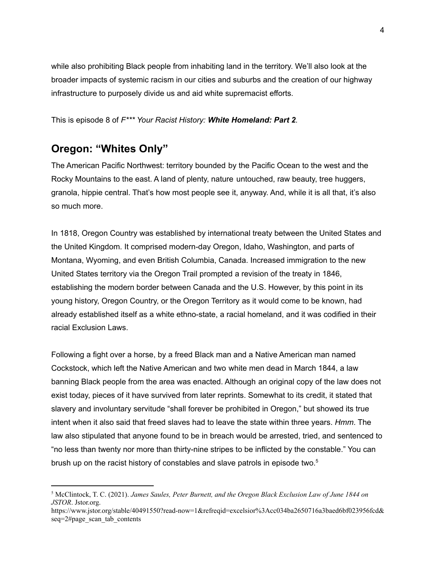while also prohibiting Black people from inhabiting land in the territory. We'll also look at the broader impacts of systemic racism in our cities and suburbs and the creation of our highway infrastructure to purposely divide us and aid white supremacist efforts.

#### This is episode 8 of *F\*\*\* Your Racist History: White Homeland: Part 2.*

# **Oregon: "Whites Only"**

The American Pacific Northwest: territory bounded by the Pacific Ocean to the west and the Rocky Mountains to the east. A land of plenty, nature untouched, raw beauty, tree huggers, granola, hippie central. That's how most people see it, anyway. And, while it is all that, it's also so much more.

In 1818, Oregon Country was established by international treaty between the United States and the United Kingdom. It comprised modern-day Oregon, Idaho, Washington, and parts of Montana, Wyoming, and even British Columbia, Canada. Increased immigration to the new United States territory via the Oregon Trail prompted a revision of the treaty in 1846, establishing the modern border between Canada and the U.S. However, by this point in its young history, Oregon Country, or the Oregon Territory as it would come to be known, had already established itself as a white ethno-state, a racial homeland, and it was codified in their racial Exclusion Laws.

Following a fight over a horse, by a freed Black man and a Native American man named Cockstock, which left the Native American and two white men dead in March 1844, a law banning Black people from the area was enacted. Although an original copy of the law does not exist today, pieces of it have survived from later reprints. Somewhat to its credit, it stated that slavery and involuntary servitude "shall forever be prohibited in Oregon," but showed its true intent when it also said that freed slaves had to leave the state within three years. *Hmm*. The law also stipulated that anyone found to be in breach would be arrested, tried, and sentenced to "no less than twenty nor more than thirty-nine stripes to be inflicted by the constable." You can brush up on the racist history of constables and slave patrols in episode two.<sup>5</sup>

<sup>5</sup> McClintock, T. C. (2021). *James Saules, Peter Burnett, and the Oregon Black Exclusion Law of June 1844 on JSTOR*. Jstor.org.

[https://www.jstor.org/stable/40491550?read-now=1&refreqid=excelsior%3Acc034ba2650716a3baed6bf023956fcd&](https://www.jstor.org/stable/40491550?read-now=1&refreqid=excelsior%3Acc034ba2650716a3baed6bf023956fcd&seq=2#page_scan_tab_contents) [seq=2#page\\_scan\\_tab\\_contents](https://www.jstor.org/stable/40491550?read-now=1&refreqid=excelsior%3Acc034ba2650716a3baed6bf023956fcd&seq=2#page_scan_tab_contents)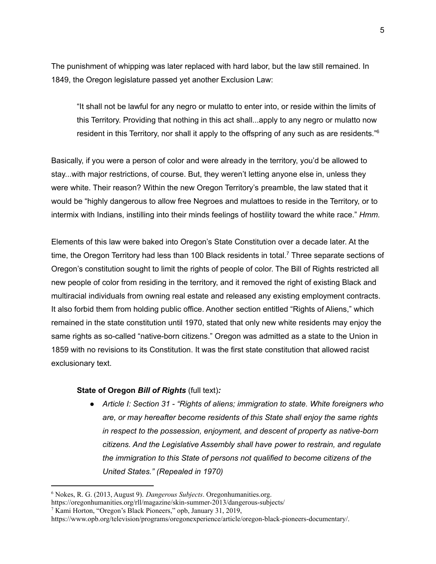The punishment of whipping was later replaced with hard labor, but the law still remained. In 1849, the Oregon legislature passed yet another Exclusion Law:

"It shall not be lawful for any negro or mulatto to enter into, or reside within the limits of this Territory. Providing that nothing in this act shall...apply to any negro or mulatto now resident in this Territory, nor shall it apply to the offspring of any such as are residents."<sup>6</sup>

Basically, if you were a person of color and were already in the territory, you'd be allowed to stay...with major restrictions, of course. But, they weren't letting anyone else in, unless they were white. Their reason? Within the new Oregon Territory's preamble, the law stated that it would be "highly dangerous to allow free Negroes and mulattoes to reside in the Territory, or to intermix with Indians, instilling into their minds feelings of hostility toward the white race." *Hmm.*

Elements of this law were baked into Oregon's State Constitution over a decade later. At the time, the Oregon Territory had less than 100 Black residents in total.<sup>7</sup> Three separate sections of Oregon's constitution sought to limit the rights of people of color. The Bill of Rights restricted all new people of color from residing in the territory, and it removed the right of existing Black and multiracial individuals from owning real estate and released any existing employment contracts. It also forbid them from holding public office. Another section entitled "Rights of Aliens," which remained in the state constitution until 1970, stated that only new white residents may enjoy the same rights as so-called "native-born citizens." Oregon was admitted as a state to the Union in 1859 with no revisions to its Constitution. It was the first state constitution that allowed racist exclusionary text.

#### **State of Oregon** *Bill of Rights* (full text)*:*

*● Article I: Section 31 - "Rights of aliens; immigration to state. White foreigners who are, or may hereafter become residents of this State shall enjoy the same rights in respect to the possession, enjoyment, and descent of property as native-born citizens. And the Legislative Assembly shall have power to restrain, and regulate the immigration to this State of persons not qualified to become citizens of the United States." (Repealed in 1970)*

<sup>6</sup> Nokes, R. G. (2013, August 9). *Dangerous Subjects*. Oregonhumanities.org.

<https://oregonhumanities.org/rll/magazine/skin-summer-2013/dangerous-subjects/>

<sup>7</sup> Kami Horton, "Oregon's Black Pioneers," opb, January 31, 2019,

[https://www.opb.org/television/programs/oregonexperience/article/oregon-black-pioneers-documentary/.](https://www.opb.org/television/programs/oregonexperience/article/oregon-black-pioneers-documentary/)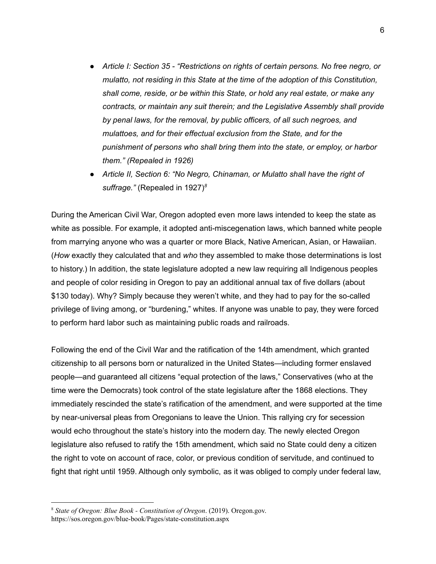- *● Article I: Section 35 - "Restrictions on rights of certain persons. No free negro, or mulatto, not residing in this State at the time of the adoption of this Constitution, shall come, reside, or be within this State, or hold any real estate, or make any contracts, or maintain any suit therein; and the Legislative Assembly shall provide by penal laws, for the removal, by public officers, of all such negroes, and mulattoes, and for their effectual exclusion from the State, and for the punishment of persons who shall bring them into the state, or employ, or harbor them." (Repealed in 1926)*
- *● Article II, Section 6: "No Negro, Chinaman, or Mulatto shall have the right of suffrage."* (Repealed in 1927) *8*

During the American Civil War, Oregon adopted even more laws intended to keep the state as white as possible. For example, it adopted anti-miscegenation laws, which banned white people from marrying anyone who was a quarter or more Black, Native American, Asian, or Hawaiian. (*How* exactly they calculated that and *who* they assembled to make those determinations is lost to history.) In addition, the state legislature adopted a new law requiring all Indigenous peoples and people of color residing in Oregon to pay an additional annual tax of five dollars (about \$130 today). Why? Simply because they weren't white, and they had to pay for the so-called privilege of living among, or "burdening," whites. If anyone was unable to pay, they were forced to perform hard labor such as maintaining public roads and railroads.

Following the end of the Civil War and the ratification of the 14th amendment, which granted citizenship to all persons born or naturalized in the United States—including former enslaved people—and guaranteed all citizens "equal protection of the laws," Conservatives (who at the time were the Democrats) took control of the state legislature after the 1868 elections. They immediately rescinded the state's ratification of the amendment, and were supported at the time by near-universal pleas from Oregonians to leave the Union. This rallying cry for secession would echo throughout the state's history into the modern day. The newly elected Oregon legislature also refused to ratify the 15th amendment, which said no State could deny a citizen the right to vote on account of race, color, or previous condition of servitude, and continued to fight that right until 1959. Although only symbolic, as it was obliged to comply under federal law,

<sup>8</sup> *State of Oregon: Blue Book - Constitution of Oregon*. (2019). Oregon.gov.

https://sos.oregon.gov/blue-book/Pages/state-constitution.aspx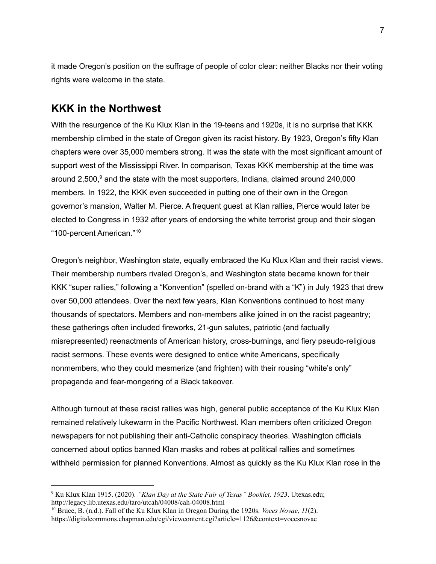it made Oregon's position on the suffrage of people of color clear: neither Blacks nor their voting rights were welcome in the state.

## **KKK in the Northwest**

With the resurgence of the Ku Klux Klan in the 19-teens and 1920s, it is no surprise that KKK membership climbed in the state of Oregon given its racist history. By 1923, Oregon's fifty Klan chapters were over 35,000 members strong. It was the state with the most significant amount of support west of the Mississippi River. In comparison, Texas KKK membership at the time was around 2,500, <sup>9</sup> and the state with the most supporters, Indiana, claimed around 240,000 members. In 1922, the KKK even succeeded in putting one of their own in the Oregon governor's mansion, Walter M. Pierce. A frequent guest at Klan rallies, Pierce would later be elected to Congress in 1932 after years of endorsing the white terrorist group and their slogan "100-percent American." 10

Oregon's neighbor, Washington state, equally embraced the Ku Klux Klan and their racist views. Their membership numbers rivaled Oregon's, and Washington state became known for their KKK "super rallies," following a "Konvention" (spelled on-brand with a "K") in July 1923 that drew over 50,000 attendees. Over the next few years, Klan Konventions continued to host many thousands of spectators. Members and non-members alike joined in on the racist pageantry; these gatherings often included fireworks, 21-gun salutes, patriotic (and factually misrepresented) reenactments of American history, cross-burnings, and fiery pseudo-religious racist sermons. These events were designed to entice white Americans, specifically nonmembers, who they could mesmerize (and frighten) with their rousing "white's only" propaganda and fear-mongering of a Black takeover.

Although turnout at these racist rallies was high, general public acceptance of the Ku Klux Klan remained relatively lukewarm in the Pacific Northwest. Klan members often criticized Oregon newspapers for not publishing their anti-Catholic conspiracy theories. Washington officials concerned about optics banned Klan masks and robes at political rallies and sometimes withheld permission for planned Konventions. Almost as quickly as the Ku Klux Klan rose in the

<sup>9</sup> Ku Klux Klan 1915. (2020). *"Klan Day at the State Fair of Texas" Booklet, 1923*. Utexas.edu; <http://legacy.lib.utexas.edu/taro/utcah/04008/cah-04008.html>

<sup>10</sup> Bruce, B. (n.d.). Fall of the Ku Klux Klan in Oregon During the 1920s. *Voces Novae*, *11*(2). <https://digitalcommons.chapman.edu/cgi/viewcontent.cgi?article=1126&context=vocesnovae>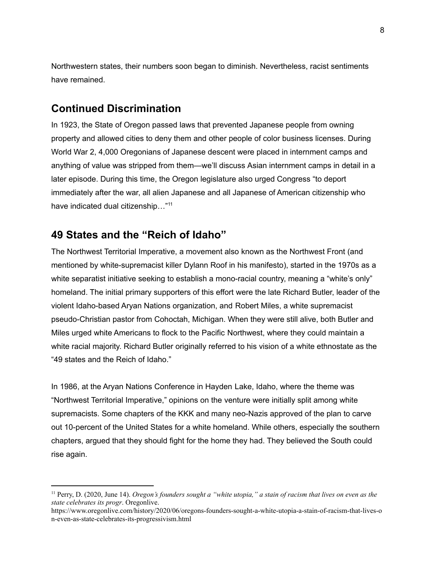Northwestern states, their numbers soon began to diminish. Nevertheless, racist sentiments have remained.

## **Continued Discrimination**

In 1923, the State of Oregon passed laws that prevented Japanese people from owning property and allowed cities to deny them and other people of color business licenses. During World War 2, 4,000 Oregonians of Japanese descent were placed in internment camps and anything of value was stripped from them—we'll discuss Asian internment camps in detail in a later episode. During this time, the Oregon legislature also urged Congress "to deport immediately after the war, all alien Japanese and all Japanese of American citizenship who have indicated dual citizenship..."<sup>11</sup>

## **49 States and the "Reich of Idaho"**

The Northwest Territorial Imperative, a movement also known as the Northwest Front (and mentioned by white-supremacist killer Dylann Roof in his manifesto), started in the 1970s as a white separatist initiative seeking to establish a mono-racial country, meaning a "white's only" homeland. The initial primary supporters of this effort were the late Richard Butler, leader of the violent Idaho-based Aryan Nations organization, and Robert Miles, a white supremacist pseudo-Christian pastor from Cohoctah, Michigan. When they were still alive, both Butler and Miles urged white Americans to flock to the Pacific Northwest, where they could maintain a white racial majority. Richard Butler originally referred to his vision of a white ethnostate as the "49 states and the Reich of Idaho."

In 1986, at the Aryan Nations Conference in Hayden Lake, Idaho, where the theme was "Northwest Territorial Imperative," opinions on the venture were initially split among white supremacists. Some chapters of the KKK and many neo-Nazis approved of the plan to carve out 10-percent of the United States for a white homeland. While others, especially the southern chapters, argued that they should fight for the home they had. They believed the South could rise again.

<sup>&</sup>lt;sup>11</sup> Perry, D. (2020, June 14). Oregon's founders sought a "white utopia," a stain of racism that lives on even as the *state celebrates its progr*. Oregonlive.

[https://www.oregonlive.com/history/2020/06/oregons-founders-sought-a-white-utopia-a-stain-of-racism-that-lives-o](https://www.oregonlive.com/history/2020/06/oregons-founders-sought-a-white-utopia-a-stain-of-racism-that-lives-on-even-as-state-celebrates-its-progressivism.html) [n-even-as-state-celebrates-its-progressivism.html](https://www.oregonlive.com/history/2020/06/oregons-founders-sought-a-white-utopia-a-stain-of-racism-that-lives-on-even-as-state-celebrates-its-progressivism.html)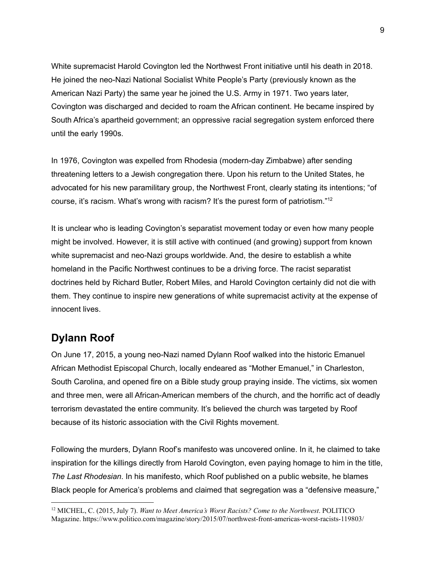White supremacist Harold Covington led the Northwest Front initiative until his death in 2018. He joined the neo-Nazi National Socialist White People's Party (previously known as the American Nazi Party) the same year he joined the U.S. Army in 1971. Two years later, Covington was discharged and decided to roam the African continent. He became inspired by South Africa's apartheid government; an oppressive racial segregation system enforced there until the early 1990s.

In 1976, Covington was expelled from Rhodesia (modern-day Zimbabwe) after sending threatening letters to a Jewish congregation there. Upon his return to the United States, he advocated for his new paramilitary group, the Northwest Front, clearly stating its intentions; "of course, it's racism. What's wrong with racism? It's the purest form of patriotism."<sup>12</sup>

It is unclear who is leading Covington's separatist movement today or even how many people might be involved. However, it is still active with continued (and growing) support from known white supremacist and neo-Nazi groups worldwide. And, the desire to establish a white homeland in the Pacific Northwest continues to be a driving force. The racist separatist doctrines held by Richard Butler, Robert Miles, and Harold Covington certainly did not die with them. They continue to inspire new generations of white supremacist activity at the expense of innocent lives.

## **Dylann Roof**

On June 17, 2015, a young neo-Nazi named Dylann Roof walked into the historic [Emanuel](https://en.wikipedia.org/wiki/Emanuel_African_Methodist_Episcopal_Church) African Methodist [Episcopal](https://en.wikipedia.org/wiki/Emanuel_African_Methodist_Episcopal_Church) Church, locally endeared as "Mother Emanuel," in Charleston, South Carolina, and opened fire on a Bible study group praying inside. The victims, six women and three men, were all African-American members of the church, and the horrific act of deadly terrorism devastated the entire community. It's believed the church was targeted by Roof because of its historic association with the Civil Rights movement.

Following the murders, Dylann Roof's manifesto was uncovered online. In it, he claimed to take inspiration for the killings directly from Harold Covington, even paying homage to him in the title, *The Last Rhodesian*. In his manifesto, which Roof published on a public website, he blames Black people for America's problems and claimed that segregation was a "defensive measure,"

<sup>12</sup> MICHEL, C. (2015, July 7). *Want to Meet America's Worst Racists? Come to the Northwest*. POLITICO Magazine. <https://www.politico.com/magazine/story/2015/07/northwest-front-americas-worst-racists-119803/>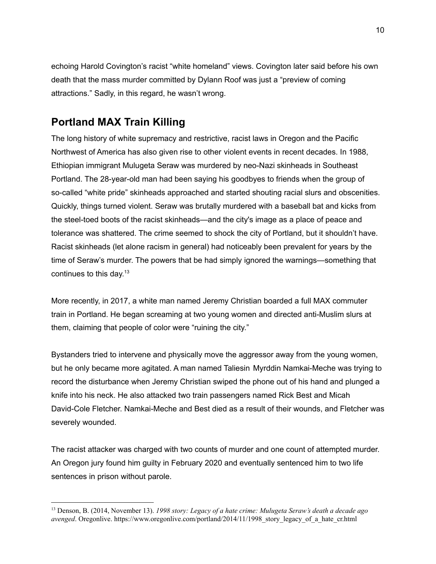echoing Harold Covington's racist "white homeland" views. Covington later said before his own death that the mass murder committed by Dylann Roof was just a "preview of coming attractions." Sadly, in this regard, he wasn't wrong.

# **Portland MAX Train Killing**

The long history of white supremacy and restrictive, racist laws in Oregon and the Pacific Northwest of America has also given rise to other violent events in recent decades. In 1988, Ethiopian immigrant Mulugeta Seraw was murdered by neo-Nazi skinheads in Southeast Portland. The 28-year-old man had been saying his goodbyes to friends when the group of so-called "white pride" skinheads approached and started shouting racial slurs and obscenities. Quickly, things turned violent. Seraw was brutally murdered with a baseball bat and kicks from the steel-toed boots of the racist skinheads—and the city's image as a place of peace and tolerance was shattered. The crime seemed to shock the city of Portland, but it shouldn't have. Racist skinheads (let alone racism in general) had noticeably been prevalent for years by the time of Seraw's murder. The powers that be had simply ignored the warnings—something that continues to this day. $13$ 

More recently, in 2017, a white man named Jeremy Christian boarded a full MAX commuter train in Portland. He began screaming at two young women and directed anti-Muslim slurs at them, claiming that people of color were "ruining the city."

Bystanders tried to intervene and physically move the aggressor away from the young women, but he only became more agitated. A man named Taliesin Myrddin Namkai-Meche was trying to record the disturbance when Jeremy Christian swiped the phone out of his hand and plunged a knife into his neck. He also attacked two train passengers named Rick Best and Micah David-Cole Fletcher. Namkai-Meche and Best died as a result of their wounds, and Fletcher was severely wounded.

The racist attacker was charged with two counts of murder and one count of attempted murder. An Oregon jury found him guilty in February 2020 and eventually sentenced him to two life sentences in prison without parole.

<sup>13</sup> Denson, B. (2014, November 13). *1998 story: Legacy of a hate crime: Mulugeta Seraw's death a decade ago avenged*. Oregonlive. [https://www.oregonlive.com/portland/2014/11/1998\\_story\\_legacy\\_of\\_a\\_hate\\_cr.html](https://www.oregonlive.com/portland/2014/11/1998_story_legacy_of_a_hate_cr.html)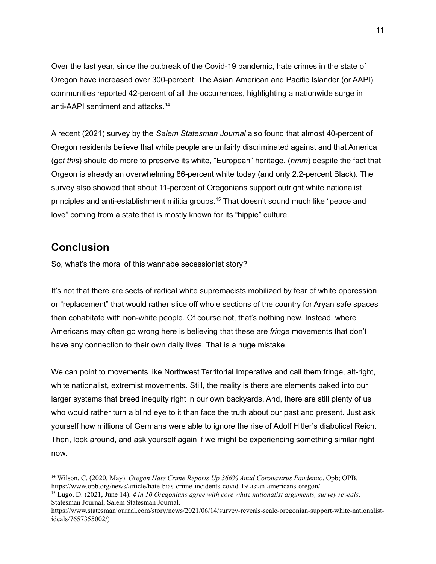Over the last year, since the outbreak of the Covid-19 pandemic, hate crimes in the state of Oregon have increased over 300-percent. The Asian American and Pacific Islander (or AAPI) communities reported 42-percent of all the occurrences, highlighting a nationwide surge in anti-AAPI sentiment and attacks. 14

A recent (2021) survey by the *Salem Statesman Journal* also found that almost 40-percent of Oregon residents believe that white people are unfairly discriminated against and that America (*get this*) should do more to preserve its white, "European" heritage, (*hmm*) despite the fact that Orgeon is already an overwhelming 86-percent white today (and only 2.2-percent Black). The survey also showed that about 11-percent of Oregonians support outright white nationalist principles and anti-establishment militia groups. <sup>15</sup> That doesn't sound much like "peace and love" coming from a state that is mostly known for its "hippie" culture.

# **Conclusion**

So, what's the moral of this wannabe secessionist story?

It's not that there are sects of radical white supremacists mobilized by fear of white oppression or "replacement" that would rather slice off whole sections of the country for Aryan safe spaces than cohabitate with non-white people. Of course not, that's nothing new. Instead, where Americans may often go wrong here is believing that these are *fringe* movements that don't have any connection to their own daily lives. That is a huge mistake.

We can point to movements like Northwest Territorial Imperative and call them fringe, alt-right, white nationalist, extremist movements. Still, the reality is there are elements baked into our larger systems that breed inequity right in our own backyards. And, there are still plenty of us who would rather turn a blind eye to it than face the truth about our past and present. Just ask yourself how millions of Germans were able to ignore the rise of Adolf Hitler's diabolical Reich. Then, look around, and ask yourself again if we might be experiencing something similar right now.

<sup>14</sup> Wilson, C. (2020, May). *Oregon Hate Crime Reports Up 366% Amid Coronavirus Pandemic*. Opb; OPB. <https://www.opb.org/news/article/hate-bias-crime-incidents-covid-19-asian-americans-oregon/>

<sup>15</sup> Lugo, D. (2021, June 14). *4 in 10 Oregonians agree with core white nationalist arguments, survey reveals*. Statesman Journal; Salem Statesman Journal.

[https://www.statesmanjournal.com/story/news/2021/06/14/survey-reveals-scale-oregonian-support-white-nationalist](https://www.statesmanjournal.com/story/news/2021/06/14/survey-reveals-scale-oregonian-support-white-nationalist-ideals/7657355002/)[ideals/7657355002/\)](https://www.statesmanjournal.com/story/news/2021/06/14/survey-reveals-scale-oregonian-support-white-nationalist-ideals/7657355002/)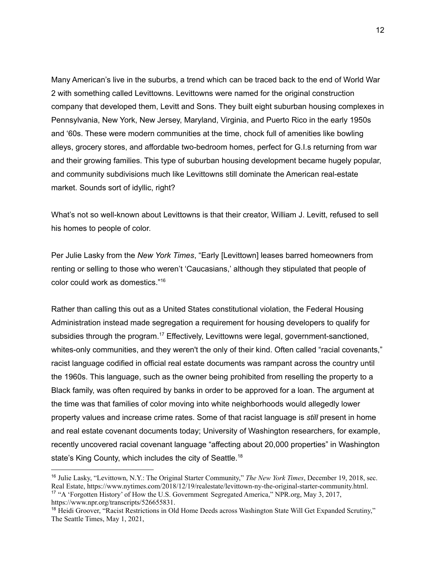Many American's live in the suburbs, a trend which can be traced back to the end of World War 2 with something called Levittowns. Levittowns were named for the original construction company that developed them, Levitt and Sons. They built eight suburban housing complexes in Pennsylvania, New York, New Jersey, Maryland, Virginia, and Puerto Rico in the early 1950s and '60s. These were modern communities at the time, chock full of amenities like bowling alleys, grocery stores, and affordable two-bedroom homes, perfect for G.I.s returning from war and their growing families. This type of suburban housing development became hugely popular, and community subdivisions much like Levittowns still dominate the American real-estate market. Sounds sort of idyllic, right?

What's not so well-known about Levittowns is that their creator, William J. Levitt, refused to sell his homes to people of color.

Per Julie Lasky from the *New York Times*, "Early [Levittown] leases barred homeowners from renting or selling to those who weren't 'Caucasians,' although they stipulated that people of color could work as domestics." 16

Rather than calling this out as a United States constitutional violation, the Federal Housing Administration instead made segregation a requirement for housing developers to qualify for subsidies through the program.<sup>17</sup> Effectively, Levittowns were legal, government-sanctioned, whites-only communities, and they weren't the only of their kind. Often called "racial covenants," racist language codified in official real estate documents was rampant across the country until the 1960s. This language, such as the owner being prohibited from reselling the property to a Black family, was often required by banks in order to be approved for a loan. The argument at the time was that families of color moving into white neighborhoods would allegedly lower property values and increase crime rates. Some of that racist language is *still* present in home and real estate covenant documents today; University of Washington researchers, for example, recently uncovered racial covenant language "affecting about 20,000 properties" in Washington state's King County, which includes the city of Seattle.<sup>18</sup>

<sup>&</sup>lt;sup>17</sup> "A 'Forgotten History' of How the U.S. Government Segregated America," NPR.org, May 3, 2017, [https://www.npr.org/transcripts/526655831.](https://www.npr.org/transcripts/526655831) <sup>16</sup> Julie Lasky, "Levittown, N.Y.: The Original Starter Community," *The New York Times*, December 19, 2018, sec. Real Estate, [https://www.nytimes.com/2018/12/19/realestate/levittown-ny-the-original-starter-community.html.](https://www.nytimes.com/2018/12/19/realestate/levittown-ny-the-original-starter-community.html)

<sup>&</sup>lt;sup>18</sup> Heidi Groover, "Racist Restrictions in Old Home Deeds across Washington State Will Get Expanded Scrutiny," The Seattle Times, May 1, 2021,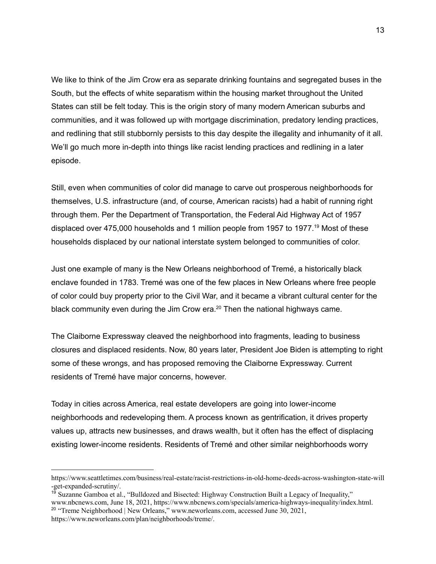We like to think of the Jim Crow era as separate drinking fountains and segregated buses in the South, but the effects of white separatism within the housing market throughout the United States can still be felt today. This is the origin story of many modern American suburbs and communities, and it was followed up with mortgage discrimination, predatory lending practices, and redlining that still stubbornly persists to this day despite the illegality and inhumanity of it all. We'll go much more in-depth into things like racist lending practices and redlining in a later episode.

Still, even when communities of color did manage to carve out prosperous neighborhoods for themselves, U.S. infrastructure (and, of course, American racists) had a habit of running right through them. Per the Department of Transportation, the Federal Aid Highway Act of 1957 displaced over 475,000 households and 1 million people from 1957 to 1977. <sup>19</sup> Most of these households displaced by our national interstate system belonged to communities of color.

Just one example of many is the New Orleans neighborhood of Tremé, a historically black enclave founded in 1783. Tremé was one of the few places in New Orleans where free people of color could buy property prior to the Civil War, and it became a vibrant cultural center for the black community even during the Jim Crow era.<sup>20</sup> Then the national highways came.

The Claiborne Expressway cleaved the neighborhood into fragments, leading to business closures and displaced residents. Now, 80 years later, President Joe Biden is attempting to right some of these wrongs, and has proposed removing the Claiborne Expressway. Current residents of Tremé have major concerns, however.

Today in cities across America, real estate developers are going into lower-income neighborhoods and redeveloping them. A process known as gentrification, it drives property values up, attracts new businesses, and draws wealth, but it often has the effect of displacing existing lower-income residents. Residents of Tremé and other similar neighborhoods worry

<sup>19</sup> Suzanne Gamboa et al., "Bulldozed and Bisected: Highway Construction Built a Legacy of Inequality," www.nbcnews.com, June 18, 2021, [https://www.nbcnews.com/specials/america-highways-inequality/index.html.](https://www.nbcnews.com/specials/america-highways-inequality/index.html)

[https://www.seattletimes.com/business/real-estate/racist-restrictions-in-old-home-deeds-across-washington-state-will](https://www.seattletimes.com/business/real-estate/racist-restrictions-in-old-home-deeds-across-washington-state-will-get-expanded-scrutiny/) [-get-expanded-scrutiny/](https://www.seattletimes.com/business/real-estate/racist-restrictions-in-old-home-deeds-across-washington-state-will-get-expanded-scrutiny/).

<sup>&</sup>lt;sup>20</sup> "Treme Neighborhood | New Orleans," www.neworleans.com, accessed June 30, 2021,

[https://www.neworleans.com/plan/neighborhoods/treme/.](https://www.neworleans.com/plan/neighborhoods/treme/)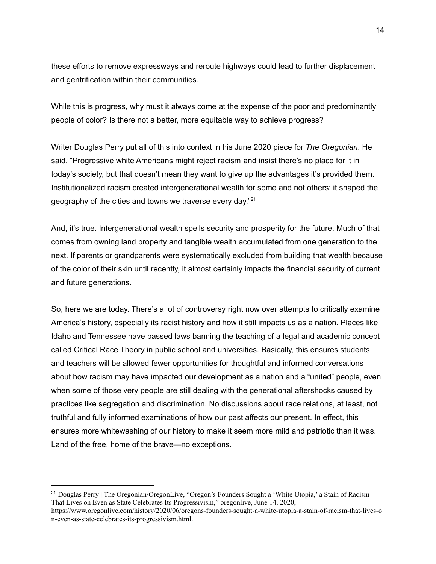these efforts to remove expressways and reroute highways could lead to further displacement and gentrification within their communities.

While this is progress, why must it always come at the expense of the poor and predominantly people of color? Is there not a better, more equitable way to achieve progress?

Writer Douglas Perry put all of this into context in his June 2020 piece for *The Oregonian*. He said, "Progressive white Americans might reject racism and insist there's no place for it in today's society, but that doesn't mean they want to give up the advantages it's provided them. Institutionalized racism created intergenerational wealth for some and not others; it shaped the geography of the cities and towns we traverse every day."<sup>21</sup>

And, it's true. Intergenerational wealth spells security and prosperity for the future. Much of that comes from owning land property and tangible wealth accumulated from one generation to the next. If parents or grandparents were systematically excluded from building that wealth because of the color of their skin until recently, it almost certainly impacts the financial security of current and future generations.

So, here we are today. There's a lot of controversy right now over attempts to critically examine America's history, especially its racist history and how it still impacts us as a nation. Places like Idaho and Tennessee have passed laws banning the teaching of a legal and academic concept called Critical Race Theory in public school and universities. Basically, this ensures students and teachers will be allowed fewer opportunities for thoughtful and informed conversations about how racism may have impacted our development as a nation and a "united" people, even when some of those very people are still dealing with the generational aftershocks caused by practices like segregation and discrimination. No discussions about race relations, at least, not truthful and fully informed examinations of how our past affects our present. In effect, this ensures more whitewashing of our history to make it seem more mild and patriotic than it was. Land of the free, home of the brave—no exceptions.

<sup>&</sup>lt;sup>21</sup> Douglas Perry | The Oregonian/OregonLive, "Oregon's Founders Sought a 'White Utopia,' a Stain of Racism That Lives on Even as State Celebrates Its Progressivism," oregonlive, June 14, 2020,

[https://www.oregonlive.com/history/2020/06/oregons-founders-sought-a-white-utopia-a-stain-of-racism-that-lives-o](https://www.oregonlive.com/history/2020/06/oregons-founders-sought-a-white-utopia-a-stain-of-racism-that-lives-on-even-as-state-celebrates-its-progressivism.html) [n-even-as-state-celebrates-its-progressivism.html.](https://www.oregonlive.com/history/2020/06/oregons-founders-sought-a-white-utopia-a-stain-of-racism-that-lives-on-even-as-state-celebrates-its-progressivism.html)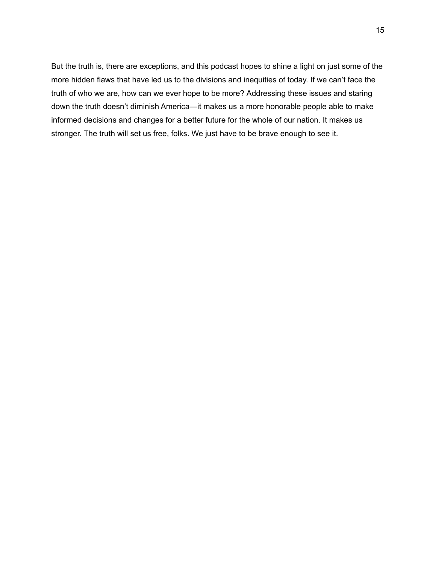But the truth is, there are exceptions, and this podcast hopes to shine a light on just some of the more hidden flaws that have led us to the divisions and inequities of today. If we can't face the truth of who we are, how can we ever hope to be more? Addressing these issues and staring down the truth doesn't diminish America—it makes us a more honorable people able to make informed decisions and changes for a better future for the whole of our nation. It makes us stronger. The truth will set us free, folks. We just have to be brave enough to see it.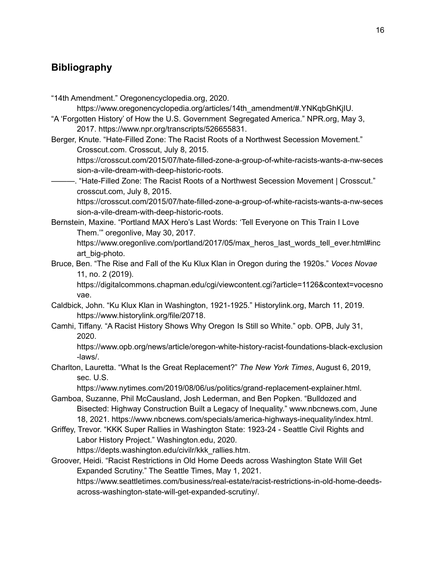## **Bibliography**

"14th Amendment." Oregonencyclopedia.org, 2020. https://www.oregonencyclopedia.org/articles/14th\_amendment/#.YNKqbGhKjIU. "A 'Forgotten History' of How the U.S. Government Segregated America." NPR.org, May 3, 2017. https://www.npr.org/transcripts/526655831. Berger, Knute. "Hate-Filled Zone: The Racist Roots of a Northwest Secession Movement." Crosscut.com. Crosscut, July 8, 2015. https://crosscut.com/2015/07/hate-filled-zone-a-group-of-white-racists-wants-a-nw-seces sion-a-vile-dream-with-deep-historic-roots. -. "Hate-Filled Zone: The Racist Roots of a Northwest Secession Movement | Crosscut." crosscut.com, July 8, 2015. https://crosscut.com/2015/07/hate-filled-zone-a-group-of-white-racists-wants-a-nw-seces sion-a-vile-dream-with-deep-historic-roots. Bernstein, Maxine. "Portland MAX Hero's Last Words: 'Tell Everyone on This Train I Love Them.'" oregonlive, May 30, 2017. https://www.oregonlive.com/portland/2017/05/max\_heros\_last\_words\_tell\_ever.html#inc art\_big-photo. Bruce, Ben. "The Rise and Fall of the Ku Klux Klan in Oregon during the 1920s." *Voces Novae* 11, no. 2 (2019). https://digitalcommons.chapman.edu/cgi/viewcontent.cgi?article=1126&context=vocesno vae. Caldbick, John. "Ku Klux Klan in Washington, 1921-1925." Historylink.org, March 11, 2019. https://www.historylink.org/file/20718. Camhi, Tiffany. "A Racist History Shows Why Oregon Is Still so White." opb. OPB, July 31, 2020. https://www.opb.org/news/article/oregon-white-history-racist-foundations-black-exclusion -laws/. Charlton, Lauretta. "What Is the Great Replacement?" *The New York Times*, August 6, 2019, sec. U.S. https://www.nytimes.com/2019/08/06/us/politics/grand-replacement-explainer.html. Gamboa, Suzanne, Phil McCausland, Josh Lederman, and Ben Popken. "Bulldozed and Bisected: Highway Construction Built a Legacy of Inequality." www.nbcnews.com, June 18, 2021. https://www.nbcnews.com/specials/america-highways-inequality/index.html. Griffey, Trevor. "KKK Super Rallies in Washington State: 1923-24 - Seattle Civil Rights and Labor History Project." Washington.edu, 2020. https://depts.washington.edu/civilr/kkk\_rallies.htm. Groover, Heidi. "Racist Restrictions in Old Home Deeds across Washington State Will Get Expanded Scrutiny." The Seattle Times, May 1, 2021. https://www.seattletimes.com/business/real-estate/racist-restrictions-in-old-home-deedsacross-washington-state-will-get-expanded-scrutiny/.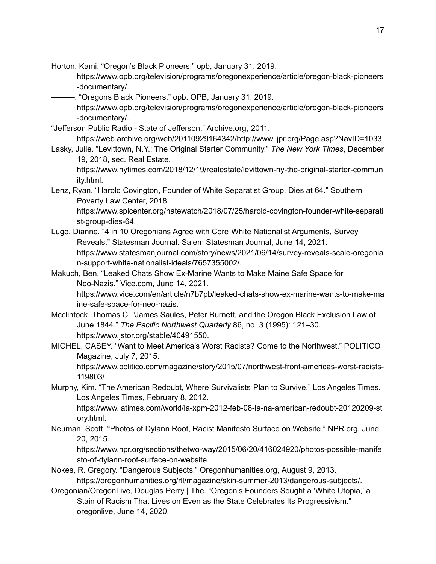Horton, Kami. "Oregon's Black Pioneers." opb, January 31, 2019.

https://www.opb.org/television/programs/oregonexperience/article/oregon-black-pioneers -documentary/.

———. "Oregons Black Pioneers." opb. OPB, January 31, 2019.

https://www.opb.org/television/programs/oregonexperience/article/oregon-black-pioneers -documentary/.

"Jefferson Public Radio - State of Jefferson." Archive.org, 2011.

https://web.archive.org/web/20110929164342/http://www.ijpr.org/Page.asp?NavID=1033.

Lasky, Julie. "Levittown, N.Y.: The Original Starter Community." *The New York Times*, December 19, 2018, sec. Real Estate.

https://www.nytimes.com/2018/12/19/realestate/levittown-ny-the-original-starter-commun ity.html.

Lenz, Ryan. "Harold Covington, Founder of White Separatist Group, Dies at 64." Southern Poverty Law Center, 2018.

https://www.splcenter.org/hatewatch/2018/07/25/harold-covington-founder-white-separati st-group-dies-64.

- Lugo, Dianne. "4 in 10 Oregonians Agree with Core White Nationalist Arguments, Survey Reveals." Statesman Journal. Salem Statesman Journal, June 14, 2021. https://www.statesmanjournal.com/story/news/2021/06/14/survey-reveals-scale-oregonia n-support-white-nationalist-ideals/7657355002/.
- Makuch, Ben. "Leaked Chats Show Ex-Marine Wants to Make Maine Safe Space for Neo-Nazis." Vice.com, June 14, 2021.

https://www.vice.com/en/article/n7b7pb/leaked-chats-show-ex-marine-wants-to-make-ma ine-safe-space-for-neo-nazis.

- Mcclintock, Thomas C. "James Saules, Peter Burnett, and the Oregon Black Exclusion Law of June 1844." *The Pacific Northwest Quarterly* 86, no. 3 (1995): 121–30. https://www.jstor.org/stable/40491550.
- MICHEL, CASEY. "Want to Meet America's Worst Racists? Come to the Northwest." POLITICO Magazine, July 7, 2015.

https://www.politico.com/magazine/story/2015/07/northwest-front-americas-worst-racists-119803/.

Murphy, Kim. "The American Redoubt, Where Survivalists Plan to Survive." Los Angeles Times. Los Angeles Times, February 8, 2012.

https://www.latimes.com/world/la-xpm-2012-feb-08-la-na-american-redoubt-20120209-st ory.html.

Neuman, Scott. "Photos of Dylann Roof, Racist Manifesto Surface on Website." NPR.org, June 20, 2015.

https://www.npr.org/sections/thetwo-way/2015/06/20/416024920/photos-possible-manife sto-of-dylann-roof-surface-on-website.

Nokes, R. Gregory. "Dangerous Subjects." Oregonhumanities.org, August 9, 2013. https://oregonhumanities.org/rll/magazine/skin-summer-2013/dangerous-subjects/.

Oregonian/OregonLive, Douglas Perry | The. "Oregon's Founders Sought a 'White Utopia,' a Stain of Racism That Lives on Even as the State Celebrates Its Progressivism." oregonlive, June 14, 2020.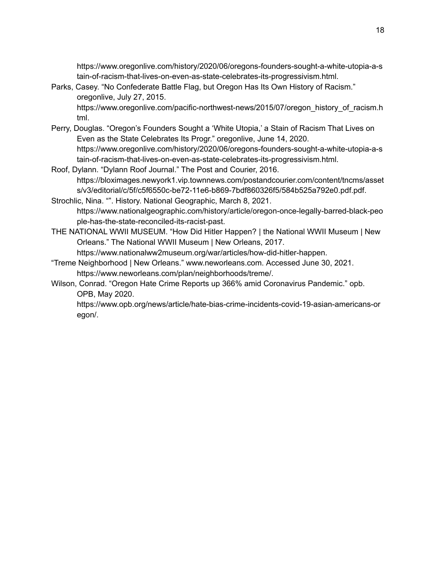https://www.oregonlive.com/history/2020/06/oregons-founders-sought-a-white-utopia-a-s tain-of-racism-that-lives-on-even-as-state-celebrates-its-progressivism.html.

- Parks, Casey. "No Confederate Battle Flag, but Oregon Has Its Own History of Racism." oregonlive, July 27, 2015. https://www.oregonlive.com/pacific-northwest-news/2015/07/oregon\_history\_of\_racism.h tml.
- Perry, Douglas. "Oregon's Founders Sought a 'White Utopia,' a Stain of Racism That Lives on Even as the State Celebrates Its Progr." oregonlive, June 14, 2020. https://www.oregonlive.com/history/2020/06/oregons-founders-sought-a-white-utopia-a-s tain-of-racism-that-lives-on-even-as-state-celebrates-its-progressivism.html.
- Roof, Dylann. "Dylann Roof Journal." The Post and Courier, 2016. https://bloximages.newyork1.vip.townnews.com/postandcourier.com/content/tncms/asset s/v3/editorial/c/5f/c5f6550c-be72-11e6-b869-7bdf860326f5/584b525a792e0.pdf.pdf.
- Strochlic, Nina. "". History. National Geographic, March 8, 2021. https://www.nationalgeographic.com/history/article/oregon-once-legally-barred-black-peo ple-has-the-state-reconciled-its-racist-past.
- THE NATIONAL WWII MUSEUM. "How Did Hitler Happen? | the National WWII Museum | New Orleans." The National WWII Museum | New Orleans, 2017.

https://www.nationalww2museum.org/war/articles/how-did-hitler-happen.

- "Treme Neighborhood | New Orleans." www.neworleans.com. Accessed June 30, 2021. https://www.neworleans.com/plan/neighborhoods/treme/.
- Wilson, Conrad. "Oregon Hate Crime Reports up 366% amid Coronavirus Pandemic." opb. OPB, May 2020.

https://www.opb.org/news/article/hate-bias-crime-incidents-covid-19-asian-americans-or egon/.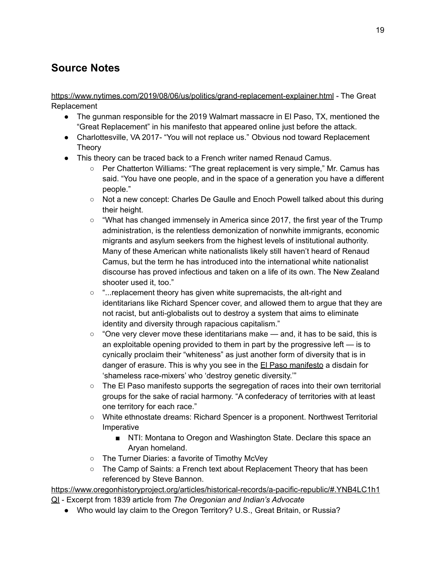# **Source Notes**

<https://www.nytimes.com/2019/08/06/us/politics/grand-replacement-explainer.html> - The Great Replacement

- The gunman responsible for the 2019 Walmart massacre in El Paso, TX, mentioned the "Great Replacement" in his manifesto that appeared online just before the attack.
- Charlottesville, VA 2017- "You will not replace us." Obvious nod toward Replacement Theory
- This theory can be traced back to a French writer named Renaud Camus.
	- Per Chatterton Williams: "The great replacement is very simple," Mr. Camus has said. "You have one people, and in the space of a generation you have a different people."
	- Not a new concept: Charles De Gaulle and Enoch Powell talked about this during their height.
	- $\circ$  "What has changed immensely in America since 2017, the first year of the Trump administration, is the relentless demonization of nonwhite immigrants, economic migrants and asylum seekers from the highest levels of institutional authority. Many of these American white nationalists likely still haven't heard of Renaud Camus, but the term he has introduced into the international white nationalist discourse has proved infectious and taken on a life of its own. The New Zealand shooter used it, too."
	- "...replacement theory has given white supremacists, the alt-right and identitarians like Richard Spencer cover, and allowed them to argue that they are not racist, but anti-globalists out to destroy a system that aims to eliminate identity and diversity through rapacious capitalism."
	- $\circ$  "One very clever move these identitarians make and, it has to be said, this is an exploitable opening provided to them in part by the progressive left — is to cynically proclaim their "whiteness" as just another form of diversity that is in danger of erasure. This is why you see in the El Paso [manifesto](https://www.citizenfreepress.com/wp-content/uploads/2019/08/shooter-manifesto-elpaso.jpg) a disdain for 'shameless race-mixers' who 'destroy genetic diversity.'"
	- The El Paso manifesto supports the segregation of races into their own territorial groups for the sake of racial harmony. "A confederacy of territories with at least one territory for each race."
	- White ethnostate dreams: Richard Spencer is a proponent. Northwest Territorial Imperative
		- NTI: Montana to Oregon and Washington State. Declare this space an Aryan homeland.
	- The Turner Diaries: a favorite of Timothy McVey
	- The Camp of Saints: a French text about Replacement Theory that has been referenced by Steve Bannon.

[https://www.oregonhistoryproject.org/articles/historical-records/a-pacific-republic/#.YNB4LC1h1](https://www.oregonhistoryproject.org/articles/historical-records/a-pacific-republic/#.YNB4LC1h1QI) [QI](https://www.oregonhistoryproject.org/articles/historical-records/a-pacific-republic/#.YNB4LC1h1QI) - Excerpt from 1839 article from *The Oregonian and Indian's Advocate*

● Who would lay claim to the Oregon Territory? U.S., Great Britain, or Russia?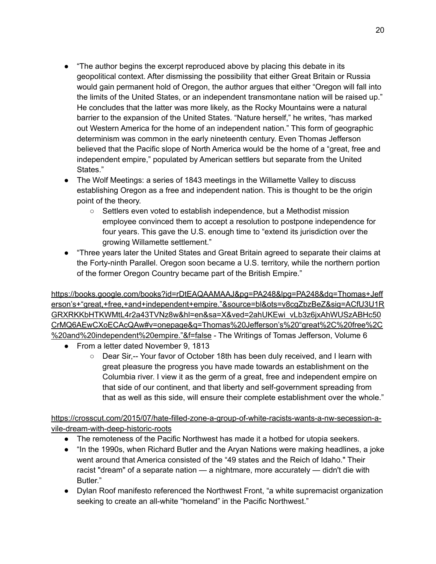- "The author begins the excerpt reproduced above by placing this debate in its geopolitical context. After dismissing the possibility that either Great Britain or Russia would gain permanent hold of Oregon, the author argues that either "Oregon will fall into the limits of the United States, or an independent transmontane nation will be raised up." He concludes that the latter was more likely, as the Rocky Mountains were a natural barrier to the expansion of the United States. "Nature herself," he writes, "has marked out Western America for the home of an independent nation." This form of geographic determinism was common in the early nineteenth century. Even Thomas Jefferson believed that the Pacific slope of North America would be the home of a "great, free and independent empire," populated by American settlers but separate from the United States."
- The Wolf Meetings: a series of 1843 meetings in the Willamette Valley to discuss establishing Oregon as a free and independent nation. This is thought to be the origin point of the theory.
	- Settlers even voted to establish independence, but a Methodist mission employee convinced them to accept a resolution to postpone independence for four years. This gave the U.S. enough time to "extend its jurisdiction over the growing Willamette settlement."
- "Three years later the United States and Great Britain agreed to separate their claims at the Forty-ninth Parallel. Oregon soon became a U.S. territory, while the northern portion of the former Oregon Country became part of the British Empire."

[https://books.google.com/books?id=rDtEAQAAMAAJ&pg=PA248&lpg=PA248&dq=Thomas+Jeff](https://books.google.com/books?id=rDtEAQAAMAAJ&pg=PA248&lpg=PA248&dq=Thomas+Jefferson%E2%80%99s+%E2%80%9Cgreat,+free,+and+independent+empire.%E2%80%9D&source=bl&ots=v8cgZbzBeZ&sig=ACfU3U1RGRXRKKbHTKWMtL4r2a43TVNz8w&hl=en&sa=X&ved=2ahUKEwi_vLb3z6jxAhWUSzABHc50CrMQ6AEwCXoECAcQAw#v=onepage&q=Thomas%20Jefferson%E2%80%99s%20%E2%80%9Cgreat%2C%20free%2C%20and%20independent%20empire.%E2%80%9D&f=false) [erson's+"great,+free,+and+independent+empire."&source=bl&ots=v8cgZbzBeZ&sig=ACfU3U1R](https://books.google.com/books?id=rDtEAQAAMAAJ&pg=PA248&lpg=PA248&dq=Thomas+Jefferson%E2%80%99s+%E2%80%9Cgreat,+free,+and+independent+empire.%E2%80%9D&source=bl&ots=v8cgZbzBeZ&sig=ACfU3U1RGRXRKKbHTKWMtL4r2a43TVNz8w&hl=en&sa=X&ved=2ahUKEwi_vLb3z6jxAhWUSzABHc50CrMQ6AEwCXoECAcQAw#v=onepage&q=Thomas%20Jefferson%E2%80%99s%20%E2%80%9Cgreat%2C%20free%2C%20and%20independent%20empire.%E2%80%9D&f=false) [GRXRKKbHTKWMtL4r2a43TVNz8w&hl=en&sa=X&ved=2ahUKEwi\\_vLb3z6jxAhWUSzABHc50](https://books.google.com/books?id=rDtEAQAAMAAJ&pg=PA248&lpg=PA248&dq=Thomas+Jefferson%E2%80%99s+%E2%80%9Cgreat,+free,+and+independent+empire.%E2%80%9D&source=bl&ots=v8cgZbzBeZ&sig=ACfU3U1RGRXRKKbHTKWMtL4r2a43TVNz8w&hl=en&sa=X&ved=2ahUKEwi_vLb3z6jxAhWUSzABHc50CrMQ6AEwCXoECAcQAw#v=onepage&q=Thomas%20Jefferson%E2%80%99s%20%E2%80%9Cgreat%2C%20free%2C%20and%20independent%20empire.%E2%80%9D&f=false) [CrMQ6AEwCXoECAcQAw#v=onepage&q=Thomas%20Jefferson's%20"great%2C%20free%2C](https://books.google.com/books?id=rDtEAQAAMAAJ&pg=PA248&lpg=PA248&dq=Thomas+Jefferson%E2%80%99s+%E2%80%9Cgreat,+free,+and+independent+empire.%E2%80%9D&source=bl&ots=v8cgZbzBeZ&sig=ACfU3U1RGRXRKKbHTKWMtL4r2a43TVNz8w&hl=en&sa=X&ved=2ahUKEwi_vLb3z6jxAhWUSzABHc50CrMQ6AEwCXoECAcQAw#v=onepage&q=Thomas%20Jefferson%E2%80%99s%20%E2%80%9Cgreat%2C%20free%2C%20and%20independent%20empire.%E2%80%9D&f=false) [%20and%20independent%20empire."&f=false](https://books.google.com/books?id=rDtEAQAAMAAJ&pg=PA248&lpg=PA248&dq=Thomas+Jefferson%E2%80%99s+%E2%80%9Cgreat,+free,+and+independent+empire.%E2%80%9D&source=bl&ots=v8cgZbzBeZ&sig=ACfU3U1RGRXRKKbHTKWMtL4r2a43TVNz8w&hl=en&sa=X&ved=2ahUKEwi_vLb3z6jxAhWUSzABHc50CrMQ6AEwCXoECAcQAw#v=onepage&q=Thomas%20Jefferson%E2%80%99s%20%E2%80%9Cgreat%2C%20free%2C%20and%20independent%20empire.%E2%80%9D&f=false) - The Writings of Tomas Jefferson, Volume 6

- From a letter dated November 9, 1813
	- Dear Sir,-- Your favor of October 18th has been duly received, and I learn with great pleasure the progress you have made towards an establishment on the Columbia river. I view it as the germ of a great, free and independent empire on that side of our continent, and that liberty and self-government spreading from that as well as this side, will ensure their complete establishment over the whole."

[https://crosscut.com/2015/07/hate-filled-zone-a-group-of-white-racists-wants-a-nw-secession-a](https://crosscut.com/2015/07/hate-filled-zone-a-group-of-white-racists-wants-a-nw-secession-a-vile-dream-with-deep-historic-roots)[vile-dream-with-deep-historic-roots](https://crosscut.com/2015/07/hate-filled-zone-a-group-of-white-racists-wants-a-nw-secession-a-vile-dream-with-deep-historic-roots)

- The remoteness of the Pacific Northwest has made it a hotbed for utopia seekers.
- "In the 1990s, when Richard Butler and the Aryan [Nations](http://www.splcenter.org/get-informed/intelligence-files/groups/aryan-nations) were making headlines, a joke went around that America consisted of the "49 states and the Reich of Idaho." Their racist "dream" of a separate nation — a nightmare, more accurately — didn't die with Butler."
- Dylan Roof manifesto referenced the Northwest Front, "a white supremacist organization seeking to create an all-white "homeland" in the Pacific Northwest."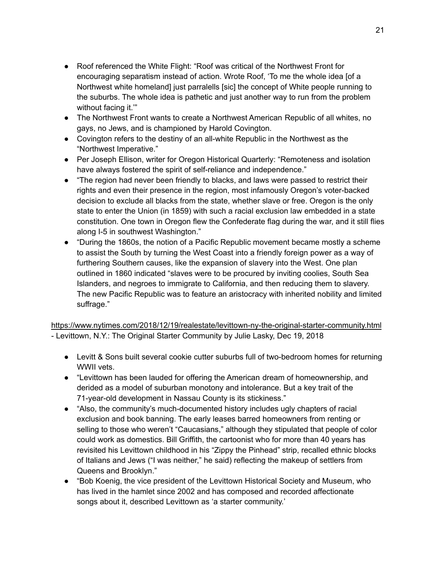- Roof referenced the White Flight: "Roof was critical of the Northwest Front for encouraging separatism instead of action. Wrote Roof, 'To me the whole idea [of a Northwest white homeland] just parralells [sic] the concept of White people running to the suburbs. The whole idea is pathetic and just another way to run from the problem without facing it."
- The Northwest Front wants to create a Northwest American Republic of all whites, no gays, no Jews, and is championed by Harold Covington.
- Covington refers to the destiny of an all-white Republic in the Northwest as the "Northwest Imperative."
- Per Joseph Ellison, writer for Oregon Historical Quarterly: "Remoteness and isolation have always fostered the spirit of self-reliance and independence."
- "The region had never been friendly to blacks, and laws were passed to restrict their rights and even their presence in the region, most infamously Oregon's voter-backed decision to [exclude](http://www.blackpast.org/perspectives/black-laws-oregon-1844-1857) all blacks from the state, whether slave or free. Oregon is the only state to enter the Union (in 1859) with such a racial exclusion law embedded in a state constitution. One town in Oregon flew the Confederate flag during the war, and it still [flies](http://crosscut.com/2015/06/confederate-symbols-also-blight-the-northwest/) along I-5 in southwest Washington."
- "During the 1860s, the notion of a Pacific Republic movement became mostly a scheme to assist the South by turning the West Coast into a friendly foreign power as a way of furthering Southern causes, like the expansion of slavery into the West. One plan outlined in 1860 indicated "slaves were to be procured by inviting coolies, South Sea Islanders, and negroes to immigrate to California, and then reducing them to slavery. The new Pacific Republic was to feature an aristocracy with inherited nobility and limited suffrage."

<https://www.nytimes.com/2018/12/19/realestate/levittown-ny-the-original-starter-community.html> - Levittown, N.Y.: The Original Starter Community by Julie Lasky, Dec 19, 2018

- Levitt & Sons built several cookie cutter suburbs full of two-bedroom homes for returning WWII vets.
- "Levittown has been lauded for offering the American dream of homeownership, and derided as a model of suburban monotony and intolerance. But a key trait of the 71-year-old development in Nassau County is its stickiness."
- "Also, the community's much-documented history includes ugly chapters of racial exclusion and book banning. The early leases barred homeowners from renting or selling to those who weren't "Caucasians," although they stipulated that people of color could work as domestics. Bill Griffith, the cartoonist who for more than 40 years has revisited his Levittown childhood in his "Zippy the Pinhead" strip, recalled ethnic blocks of Italians and Jews ("I was neither," he said) reflecting the makeup of settlers from Queens and Brooklyn."
- "Bob Koenig, the vice president of the Levittown Historical Society and Museum, who has lived in the hamlet since 2002 and has composed and recorded affectionate songs about it, described Levittown as 'a starter community.'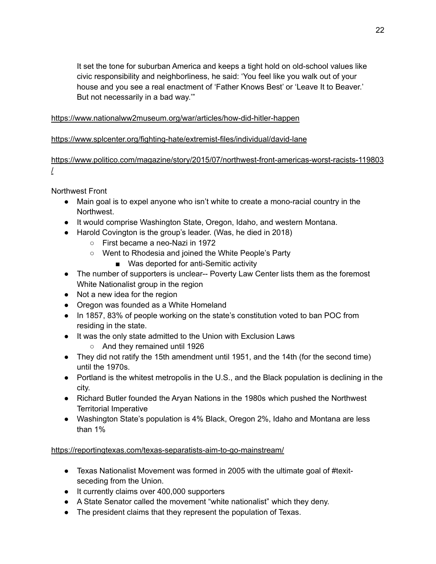It set the tone for suburban America and keeps a tight hold on old-school values like civic responsibility and neighborliness, he said: 'You feel like you walk out of your house and you see a real enactment of 'Father Knows Best' or 'Leave It to Beaver.' But not necessarily in a bad way.'"

#### <https://www.nationalww2museum.org/war/articles/how-did-hitler-happen>

#### <https://www.splcenter.org/fighting-hate/extremist-files/individual/david-lane>

#### [https://www.politico.com/magazine/story/2015/07/northwest-front-americas-worst-racists-119803](https://www.politico.com/magazine/story/2015/07/northwest-front-americas-worst-racists-119803/) [/](https://www.politico.com/magazine/story/2015/07/northwest-front-americas-worst-racists-119803/)

Northwest Front

- Main goal is to expel anyone who isn't white to create a mono-racial country in the Northwest.
- It would comprise Washington State, Oregon, Idaho, and western Montana.
- Harold Covington is the group's leader. (Was, he died in 2018)
	- First became a neo-Nazi in 1972
	- Went to Rhodesia and joined the White People's Party
		- Was deported for anti-Semitic activity
- The number of supporters is unclear-- Poverty Law Center lists them as the foremost White Nationalist group in the region
- Not a new idea for the region
- Oregon was founded as a White Homeland
- In 1857, 83% of people working on the state's constitution voted to ban POC from residing in the state.
- It was the only state admitted to the Union with Exclusion Laws
	- And they remained until 1926
- They did not ratify the 15th amendment until 1951, and the 14th (for the second time) until the 1970s.
- Portland is the whitest metropolis in the U.S., and the Black population is declining in the city.
- Richard Butler founded the Aryan Nations in the 1980s which pushed the Northwest Territorial Imperative
- Washington State's population is 4% Black, Oregon 2%, Idaho and Montana are less than 1%

<https://reportingtexas.com/texas-separatists-aim-to-go-mainstream/>

- Texas Nationalist Movement was formed in 2005 with the ultimate goal of #texitseceding from the Union.
- It currently claims over 400,000 supporters
- A State Senator called the movement "white nationalist" which they deny.
- The president claims that they represent the population of Texas.